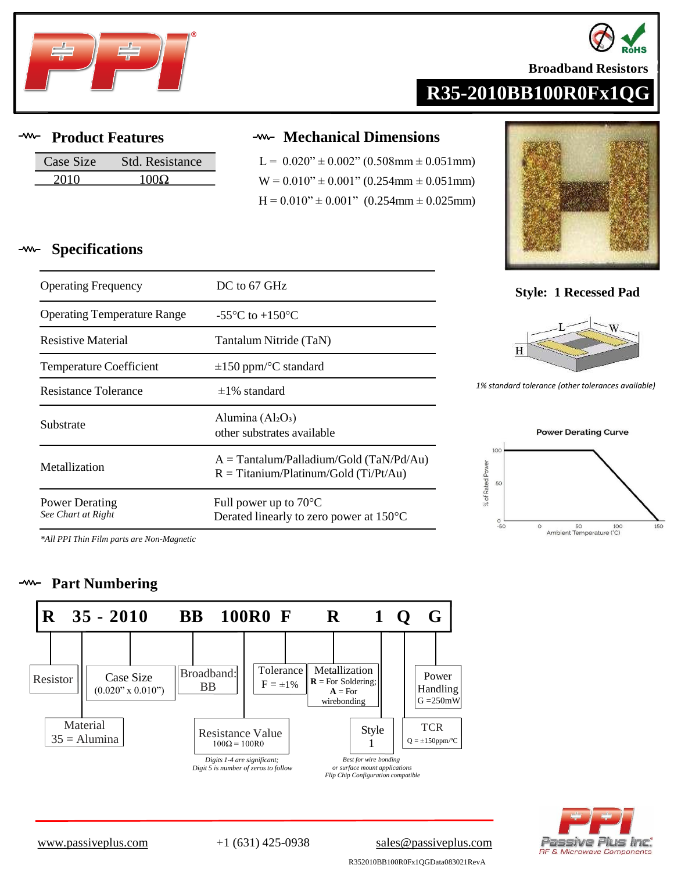

# **R35-2010BB100R0Fx1QG**

### **Product Features**

**Specifications**

| Case Size | Std. Resistance |
|-----------|-----------------|
| 2010      | 100O            |

Operating Temperature Range  $-55^{\circ}$ C to  $+150^{\circ}$ C

Resistive Material Tantalum Nitride (TaN)

Temperature Coefficient  $\pm 150$  ppm/°C standard

Substrate  $\frac{\text{Aiamma}(\text{A12O3})}{\text{other substrates available}}$ 

### **Mechanical Dimensions**

 $L = 0.020$ "  $\pm 0.002$ " (0.508mm  $\pm 0.051$ mm)  $W = 0.010" \pm 0.001"$  (0.254mm  $\pm$  0.051mm)  $H = 0.010" \pm 0.001"$  (0.254mm  $\pm$  0.025mm)



## Operating Frequency **DC** to 67 GHz **Style: 1 Recessed Pad**



**1%** *standard standard tolerance available*) *https://web/2020/2020 tolerancesavailable* 



*\*All PPI Thin Film parts are Non-Magnetic*

#### $-*www*$ **Part Numbering**

Power Derating *See Chart at Right*



Alumina (Al2O3)

Full power up to 70°C

Metallization  $R = T$ itanium/Platinum/Gold (Ti/Pt/Au)

A = Tantalum/Palladium/Gold (TaN/Pd/Au)

Derated linearly to zero power at 150°C



**Broadband Resistors** 

[www.passiveplus.com](http://www.passiveplus.com) +1 (631) 425-0938 [sales@passiveplus.com](mailto:sales@passiveplus.com)

R352010BB100R0Fx1QGData083021RevA